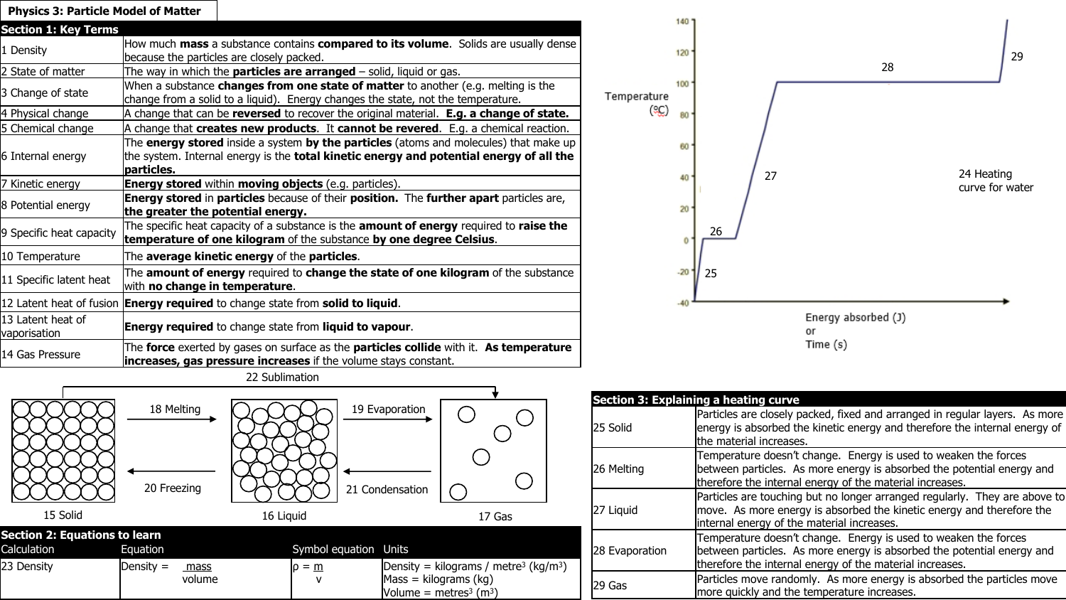| <b>Physics 3: Particle Model of Matter</b> |                                                                                                                                                                                                       |  |
|--------------------------------------------|-------------------------------------------------------------------------------------------------------------------------------------------------------------------------------------------------------|--|
| <b>Section 1: Key Terms</b>                |                                                                                                                                                                                                       |  |
| 1 Density                                  | How much mass a substance contains compared to its volume. Solids are usually dense<br>because the particles are closely packed.                                                                      |  |
| 2 State of matter                          | The way in which the <b>particles are arranged</b> – solid, liquid or gas.                                                                                                                            |  |
| 3 Change of state                          | When a substance <b>changes from one state of matter</b> to another (e.g. melting is the<br>change from a solid to a liquid). Energy changes the state, not the temperature.                          |  |
| 4 Physical change                          | A change that can be reversed to recover the original material. E.g. a change of state.                                                                                                               |  |
| 5 Chemical change                          | A change that creates new products. It cannot be revered. E.g. a chemical reaction.                                                                                                                   |  |
| 6 Internal energy                          | The energy stored inside a system by the particles (atoms and molecules) that make up<br>the system. Internal energy is the <b>total kinetic energy and potential energy of all the</b><br>particles. |  |
| 7 Kinetic energy                           | <b>Energy stored</b> within moving objects (e.g. particles).                                                                                                                                          |  |
| 8 Potential energy                         | Energy stored in particles because of their position. The further apart particles are,<br>the greater the potential energy.                                                                           |  |
| 9 Specific heat capacity                   | The specific heat capacity of a substance is the amount of energy required to raise the<br>temperature of one kilogram of the substance by one degree Celsius.                                        |  |
| 10 Temperature                             | The average kinetic energy of the particles.                                                                                                                                                          |  |
| 11 Specific latent heat                    | The <b>amount of energy</b> required to <b>change the state of one kilogram</b> of the substance<br>with no change in temperature.                                                                    |  |
|                                            | 12 Latent heat of fusion <b>Energy required</b> to change state from solid to liquid.                                                                                                                 |  |
| 13 Latent heat of<br>vaporisation          | <b>Energy required</b> to change state from liquid to vapour.                                                                                                                                         |  |
| 14 Gas Pressure                            | The force exerted by gases on surface as the particles collide with it. As temperature<br><b>increases, gas pressure increases</b> if the volume stays constant.                                      |  |



|  | <b>Section 3: Explaining a heating curve</b> |                                                                                                                                                                                                       |
|--|----------------------------------------------|-------------------------------------------------------------------------------------------------------------------------------------------------------------------------------------------------------|
|  | l25 Solid                                    | Particles are closely packed, fixed and arranged in regular layers. As more<br>energy is absorbed the kinetic energy and therefore the internal energy of<br>the material increases.                  |
|  | 26 Melting                                   | Temperature doesn't change. Energy is used to weaken the forces<br>between particles. As more energy is absorbed the potential energy and<br>therefore the internal energy of the material increases. |
|  | 27 Liquid                                    | Particles are touching but no longer arranged regularly. They are above to<br>move. As more energy is absorbed the kinetic energy and therefore the<br>internal energy of the material increases.     |
|  | 28 Evaporation                               | Temperature doesn't change. Energy is used to weaken the forces<br>between particles. As more energy is absorbed the potential energy and<br>therefore the internal energy of the material increases. |
|  | 129 Gas                                      | Particles move randomly. As more energy is absorbed the particles move<br>more quickly and the temperature increases.                                                                                 |

22 Sublimation

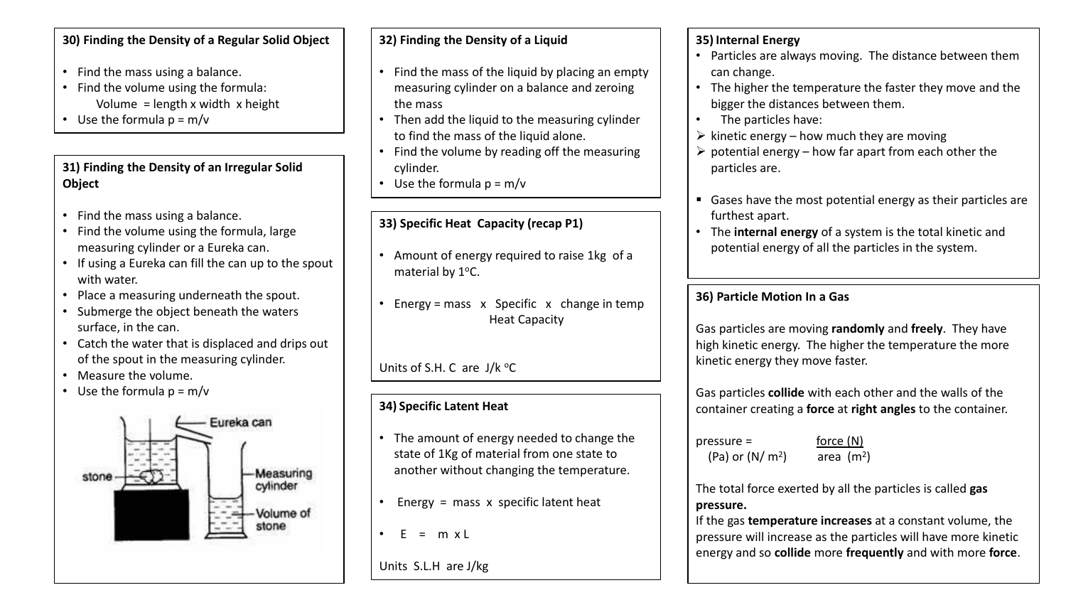#### **30) Finding the Density of a Regular Solid Object**

- Find the mass using a balance.
- Find the volume using the formula: Volume = length x width x height
- Use the formula  $p = m/v$

### **31) Finding the Density of an Irregular Solid Object**

- Find the mass using a balance.
- Find the volume using the formula, large measuring cylinder or a Eureka can.
- If using a Eureka can fill the can up to the spout with water.
- Place a measuring underneath the spout.
- Submerge the object beneath the waters surface, in the can.
- Catch the water that is displaced and drips out of the spout in the measuring cylinder.
- Measure the volume.
- Use the formula  $p = m/v$



### **32) Finding the Density of a Liquid**

- Find the mass of the liquid by placing an empty measuring cylinder on a balance and zeroing the mass
- Then add the liquid to the measuring cylinder to find the mass of the liquid alone.
- Find the volume by reading off the measuring cylinder.
- Use the formula  $p = m/v$

# **33) Specific Heat Capacity (recap P1)**

- Amount of energy required to raise 1kg of a material by 1°C.
- Energy = mass x Specific x change in temp Heat Capacity

Units of S.H. C are  $J/k$  <sup>o</sup>C

# **34) Specific Latent Heat**

- The amount of energy needed to change the state of 1Kg of material from one state to another without changing the temperature.
- Energy = mass x specific latent heat
- $F = m x l$

Units S.L.H are J/kg

## **35) Internal Energy**

- Particles are always moving. The distance between them can change.
- The higher the temperature the faster they move and the bigger the distances between them.
- The particles have:
- $\triangleright$  kinetic energy how much they are moving
- $\triangleright$  potential energy how far apart from each other the particles are.
- Gases have the most potential energy as their particles are furthest apart.
- The **internal energy** of a system is the total kinetic and potential energy of all the particles in the system.

## **36) Particle Motion In a Gas**

Gas particles are moving **randomly** and **freely**. They have high kinetic energy. The higher the temperature the more kinetic energy they move faster.

Gas particles **collide** with each other and the walls of the container creating a **force** at **right angles** to the container.

 $\text{pressure} = \text{force}(\text{N})$ (Pa) or  $(N/m<sup>2</sup>)$ 

) area (m<sup>2</sup>)

The total force exerted by all the particles is called **gas pressure.**

If the gas **temperature increases** at a constant volume, the pressure will increase as the particles will have more kinetic energy and so **collide** more **frequently** and with more **force**.